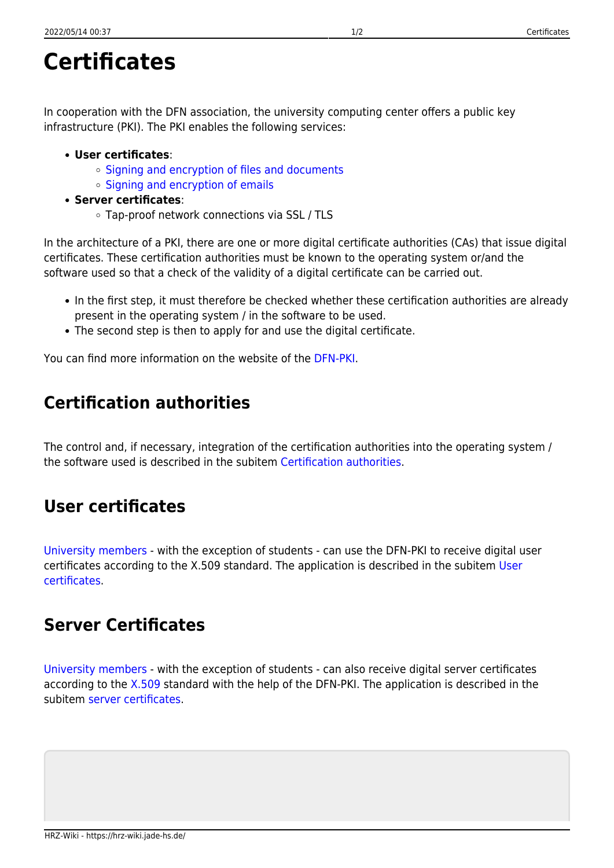## **Certificates**

In cooperation with the DFN association, the university computing center offers a public key infrastructure (PKI). The PKI enables the following services:

- **User certificates**:
	- o [Signing and encryption of files and documents](https://hrz-wiki.jade-hs.de/en/tp/datadrives/security/kleopatra)
	- o [Signing and encryption of emails](https://hrz-wiki.jade-hs.de/en/tp/email/security/start)
- **Server certificates**:
	- Tap-proof network connections via SSL / TLS

In the architecture of a PKI, there are one or more digital certificate authorities (CAs) that issue digital certificates. These certification authorities must be known to the operating system or/and the software used so that a check of the validity of a digital certificate can be carried out.

- In the first step, it must therefore be checked whether these certification authorities are already present in the operating system / in the software to be used.
- The second step is then to apply for and use the digital certificate.

You can find more information on the website of the [DFN-PKI](https://www.pki.dfn.de/).

## **Certification authorities**

The control and, if necessary, integration of the certification authorities into the operating system / the software used is described in the subitem [Certification authorities](https://hrz-wiki.jade-hs.de/en/tp/certificates/ca).

## **User certificates**

[University members](https://hrz-wiki.jade-hs.de/en/hrz/regulations/start) - with the exception of students - can use the DFN-PKI to receive digital user certificates according to the X.509 standard. The application is described in the subitem [User](https://hrz-wiki.jade-hs.de/en/tp/certificates/usercert) [certificates.](https://hrz-wiki.jade-hs.de/en/tp/certificates/usercert)

## **Server Certificates**

[University members](https://hrz-wiki.jade-hs.de/en/hrz/regulations/start) - with the exception of students - can also receive digital server certificates according to the [X.509](https://de.wikipedia.org/wiki/X.509) standard with the help of the DFN-PKI. The application is described in the subitem [server certificates](https://hrz-wiki.jade-hs.de/en/tp/certificates/servercert).